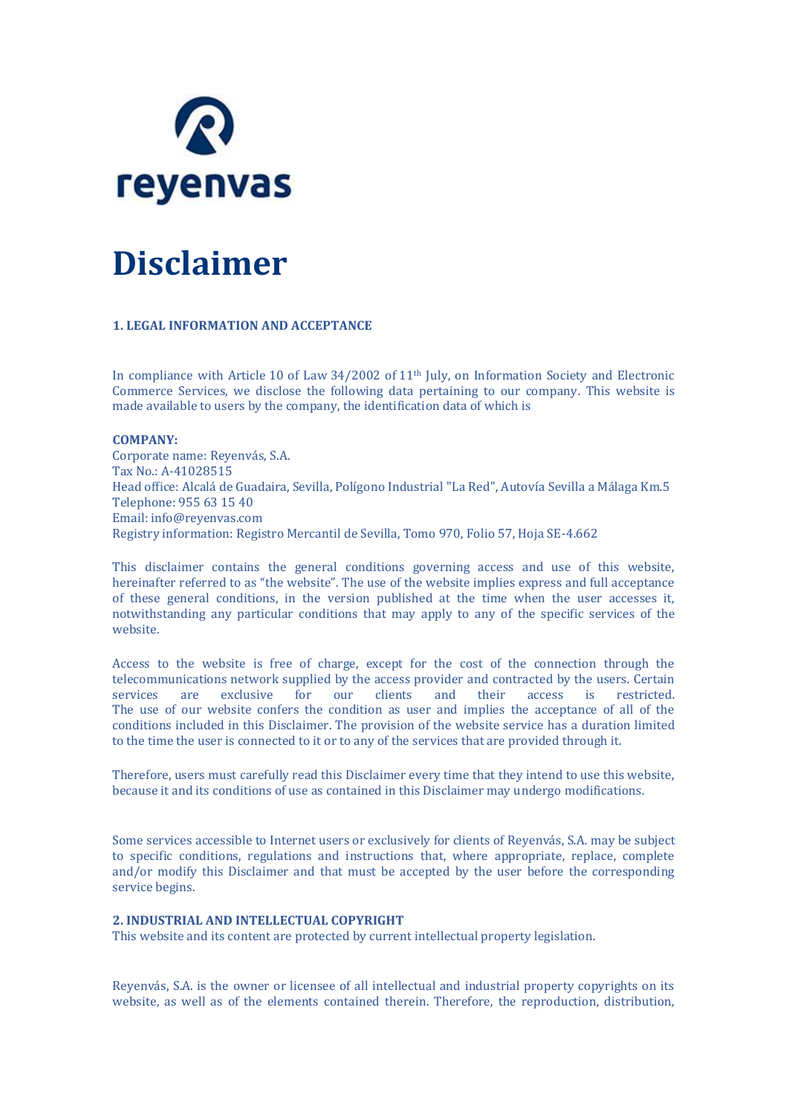

# **Disclaimer**

# **1. LEGAL INFORMATION AND ACCEPTANCE**

In compliance with Article 10 of Law 34/2002 of 11th July, on Information Society and Electronic Commerce Services, we disclose the following data pertaining to our company. This website is made available to users by the company, the identification data of which is

# **COMPANY:**

Corporate name: Reyenvás, S.A. Tax No.: A-41028515 Head office: Alcalá de Guadaira, Sevilla, Polígono Industrial "La Red", Autovía Sevilla a Málaga Km.5 Telephone: 955 63 15 40 Email: info@reyenvas.com Registry information: Registro Mercantil de Sevilla, Tomo 970, Folio 57, Hoja SE-4.662

This disclaimer contains the general conditions governing access and use of this website, hereinafter referred to as "the website". The use of the website implies express and full acceptance of these general conditions, in the version published at the time when the user accesses it, notwithstanding any particular conditions that may apply to any of the specific services of the website.

Access to the website is free of charge, except for the cost of the connection through the telecommunications network supplied by the access provider and contracted by the users. Certain services are exclusive for our clients and their access is restricted. The use of our website confers the condition as user and implies the acceptance of all of the conditions included in this Disclaimer. The provision of the website service has a duration limited to the time the user is connected to it or to any of the services that are provided through it.

Therefore, users must carefully read this Disclaimer every time that they intend to use this website, because it and its conditions of use as contained in this Disclaimer may undergo modifications.

Some services accessible to Internet users or exclusively for clients of Reyenvás, S.A. may be subject to specific conditions, regulations and instructions that, where appropriate, replace, complete and/or modify this Disclaimer and that must be accepted by the user before the corresponding service begins.

# **2. INDUSTRIAL AND INTELLECTUAL COPYRIGHT**

This website and its content are protected by current intellectual property legislation.

Reyenvás, S.A. is the owner or licensee of all intellectual and industrial property copyrights on its website, as well as of the elements contained therein. Therefore, the reproduction, distribution,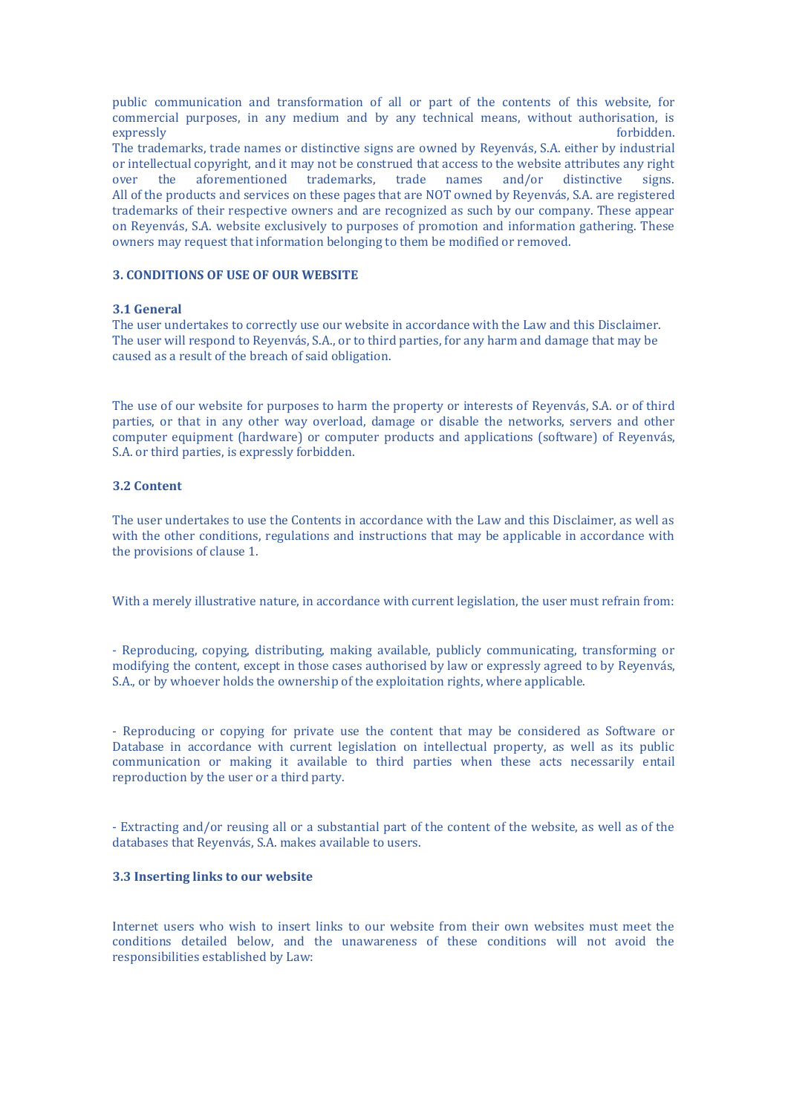public communication and transformation of all or part of the contents of this website, for commercial purposes, in any medium and by any technical means, without authorisation, is expressly forbidden.

The trademarks, trade names or distinctive signs are owned by Reyenvás, S.A. either by industrial or intellectual copyright, and it may not be construed that access to the website attributes any right over the aforementioned trademarks, trade names and/or distinctive signs. All of the products and services on these pages that are NOT owned by Reyenvás, S.A. are registered trademarks of their respective owners and are recognized as such by our company. These appear on Reyenvás, S.A. website exclusively to purposes of promotion and information gathering. These owners may request that information belonging to them be modified or removed.

# **3. CONDITIONS OF USE OF OUR WEBSITE**

## **3.1 General**

The user undertakes to correctly use our website in accordance with the Law and this Disclaimer. The user will respond to Reyenvás, S.A., or to third parties, for any harm and damage that may be caused as a result of the breach of said obligation.

The use of our website for purposes to harm the property or interests of Reyenvás, S.A. or of third parties, or that in any other way overload, damage or disable the networks, servers and other computer equipment (hardware) or computer products and applications (software) of Reyenvás, S.A. or third parties, is expressly forbidden.

# **3.2 Content**

The user undertakes to use the Contents in accordance with the Law and this Disclaimer, as well as with the other conditions, regulations and instructions that may be applicable in accordance with the provisions of clause 1.

With a merely illustrative nature, in accordance with current legislation, the user must refrain from:

- Reproducing, copying, distributing, making available, publicly communicating, transforming or modifying the content, except in those cases authorised by law or expressly agreed to by Reyenvás, S.A., or by whoever holds the ownership of the exploitation rights, where applicable.

- Reproducing or copying for private use the content that may be considered as Software or Database in accordance with current legislation on intellectual property, as well as its public communication or making it available to third parties when these acts necessarily entail reproduction by the user or a third party.

- Extracting and/or reusing all or a substantial part of the content of the website, as well as of the databases that Reyenvás, S.A. makes available to users.

# **3.3 Inserting links to our website**

Internet users who wish to insert links to our website from their own websites must meet the conditions detailed below, and the unawareness of these conditions will not avoid the responsibilities established by Law: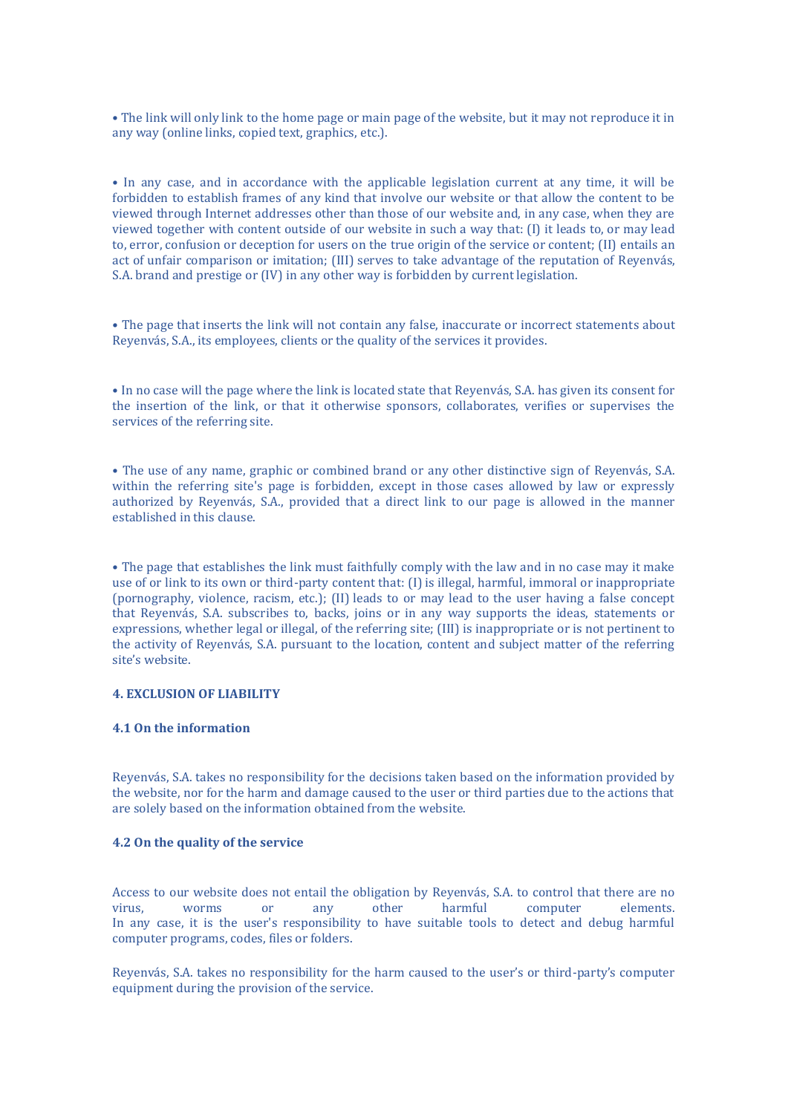• The link will only link to the home page or main page of the website, but it may not reproduce it in any way (online links, copied text, graphics, etc.).

• In any case, and in accordance with the applicable legislation current at any time, it will be forbidden to establish frames of any kind that involve our website or that allow the content to be viewed through Internet addresses other than those of our website and, in any case, when they are viewed together with content outside of our website in such a way that: (I) it leads to, or may lead to, error, confusion or deception for users on the true origin of the service or content; (II) entails an act of unfair comparison or imitation; (III) serves to take advantage of the reputation of Reyenvás, S.A. brand and prestige or (IV) in any other way is forbidden by current legislation.

• The page that inserts the link will not contain any false, inaccurate or incorrect statements about Reyenvás, S.A., its employees, clients or the quality of the services it provides.

• In no case will the page where the link is located state that Reyenvás, S.A. has given its consent for the insertion of the link, or that it otherwise sponsors, collaborates, verifies or supervises the services of the referring site.

• The use of any name, graphic or combined brand or any other distinctive sign of Reyenvás, S.A. within the referring site's page is forbidden, except in those cases allowed by law or expressly authorized by Reyenvás, S.A., provided that a direct link to our page is allowed in the manner established in this clause.

• The page that establishes the link must faithfully comply with the law and in no case may it make use of or link to its own or third-party content that: (I) is illegal, harmful, immoral or inappropriate (pornography, violence, racism, etc.); (II) leads to or may lead to the user having a false concept that Reyenvás, S.A. subscribes to, backs, joins or in any way supports the ideas, statements or expressions, whether legal or illegal, of the referring site; (III) is inappropriate or is not pertinent to the activity of Reyenvás, S.A. pursuant to the location, content and subject matter of the referring site's website.

# **4. EXCLUSION OF LIABILITY**

#### **4.1 On the information**

Reyenvás, S.A. takes no responsibility for the decisions taken based on the information provided by the website, nor for the harm and damage caused to the user or third parties due to the actions that are solely based on the information obtained from the website.

#### **4.2 On the quality of the service**

Access to our website does not entail the obligation by Reyenvás, S.A. to control that there are no virus, worms or any other harmful computer elements. In any case, it is the user's responsibility to have suitable tools to detect and debug harmful computer programs, codes, files or folders.

Reyenvás, S.A. takes no responsibility for the harm caused to the user's or third-party's computer equipment during the provision of the service.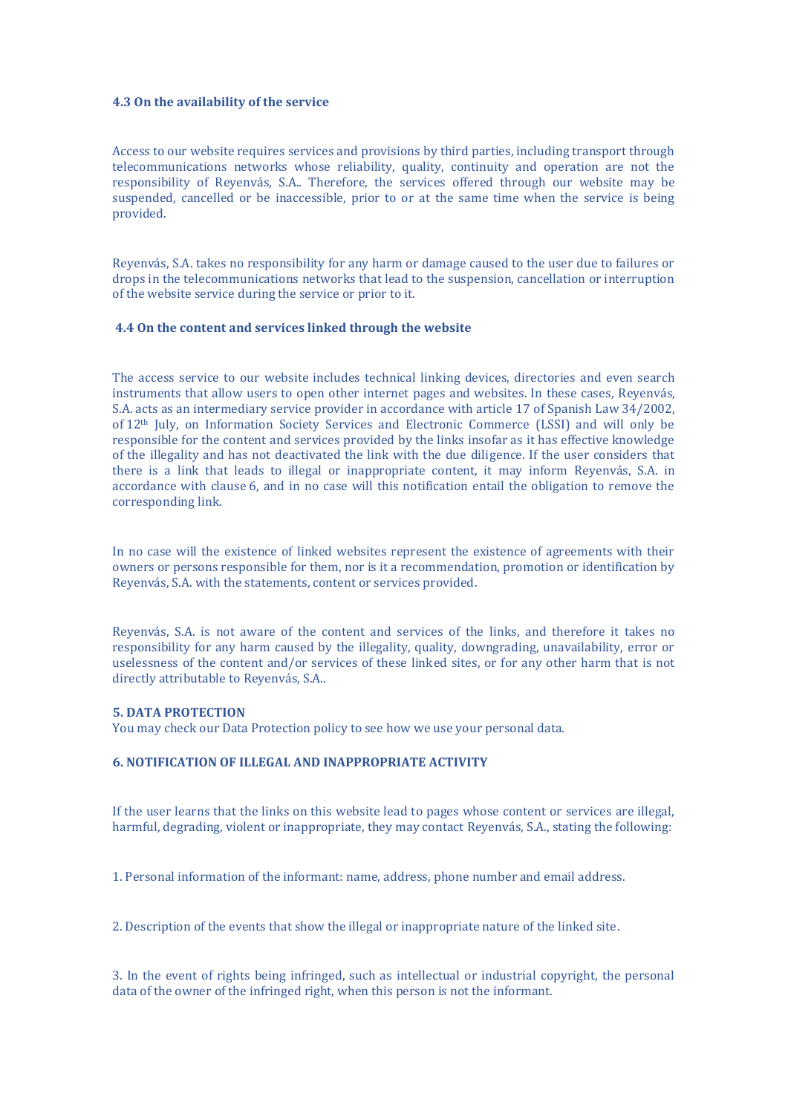# **4.3 On the availability of the service**

Access to our website requires services and provisions by third parties, including transport through telecommunications networks whose reliability, quality, continuity and operation are not the responsibility of Reyenvás, S.A.. Therefore, the services offered through our website may be suspended, cancelled or be inaccessible, prior to or at the same time when the service is being provided.

Reyenvás, S.A. takes no responsibility for any harm or damage caused to the user due to failures or drops in the telecommunications networks that lead to the suspension, cancellation or interruption of the website service during the service or prior to it.

# **4.4 On the content and services linked through the website**

The access service to our website includes technical linking devices, directories and even search instruments that allow users to open other internet pages and websites. In these cases, Reyenvás, S.A. acts as an intermediary service provider in accordance with article 17 of Spanish Law 34/2002, of 12th July, on Information Society Services and Electronic Commerce (LSSI) and will only be responsible for the content and services provided by the links insofar as it has effective knowledge of the illegality and has not deactivated the link with the due diligence. If the user considers that there is a link that leads to illegal or inappropriate content, it may inform Reyenvás, S.A. in accordance with clause 6, and in no case will this notification entail the obligation to remove the corresponding link.

In no case will the existence of linked websites represent the existence of agreements with their owners or persons responsible for them, nor is it a recommendation, promotion or identification by Reyenvás, S.A. with the statements, content or services provided.

Reyenvás, S.A. is not aware of the content and services of the links, and therefore it takes no responsibility for any harm caused by the illegality, quality, downgrading, unavailability, error or uselessness of the content and/or services of these linked sites, or for any other harm that is not directly attributable to Reyenvás, S.A..

# **5. DATA PROTECTION**

You may check our Data Protection policy to see how we use your personal data.

# **6. NOTIFICATION OF ILLEGAL AND INAPPROPRIATE ACTIVITY**

If the user learns that the links on this website lead to pages whose content or services are illegal, harmful, degrading, violent or inappropriate, they may contact Reyenvás, S.A., stating the following:

1. Personal information of the informant: name, address, phone number and email address.

2. Description of the events that show the illegal or inappropriate nature of the linked site.

3. In the event of rights being infringed, such as intellectual or industrial copyright, the personal data of the owner of the infringed right, when this person is not the informant.